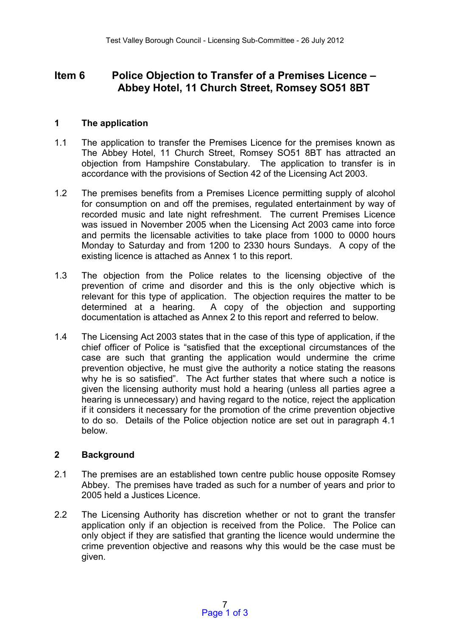# **Item 6 Police Objection to Transfer of a Premises Licence – Abbey Hotel, 11 Church Street, Romsey SO51 8BT**

## **1 The application**

- 1.1 The application to transfer the Premises Licence for the premises known as The Abbey Hotel, 11 Church Street, Romsey SO51 8BT has attracted an objection from Hampshire Constabulary. The application to transfer is in accordance with the provisions of Section 42 of the Licensing Act 2003.
- 1.2 The premises benefits from a Premises Licence permitting supply of alcohol for consumption on and off the premises, regulated entertainment by way of recorded music and late night refreshment. The current Premises Licence was issued in November 2005 when the Licensing Act 2003 came into force and permits the licensable activities to take place from 1000 to 0000 hours Monday to Saturday and from 1200 to 2330 hours Sundays. A copy of the existing licence is attached as Annex 1 to this report.
- 1.3 The objection from the Police relates to the licensing objective of the prevention of crime and disorder and this is the only objective which is relevant for this type of application. The objection requires the matter to be determined at a hearing. A copy of the objection and supporting documentation is attached as Annex 2 to this report and referred to below.
- 1.4 The Licensing Act 2003 states that in the case of this type of application, if the chief officer of Police is "satisfied that the exceptional circumstances of the case are such that granting the application would undermine the crime prevention objective, he must give the authority a notice stating the reasons why he is so satisfied". The Act further states that where such a notice is given the licensing authority must hold a hearing (unless all parties agree a hearing is unnecessary) and having regard to the notice, reject the application if it considers it necessary for the promotion of the crime prevention objective to do so. Details of the Police objection notice are set out in paragraph 4.1 below.

### **2 Background**

- 2.1 The premises are an established town centre public house opposite Romsey Abbey. The premises have traded as such for a number of years and prior to 2005 held a Justices Licence.
- 2.2 The Licensing Authority has discretion whether or not to grant the transfer application only if an objection is received from the Police. The Police can only object if they are satisfied that granting the licence would undermine the crime prevention objective and reasons why this would be the case must be given.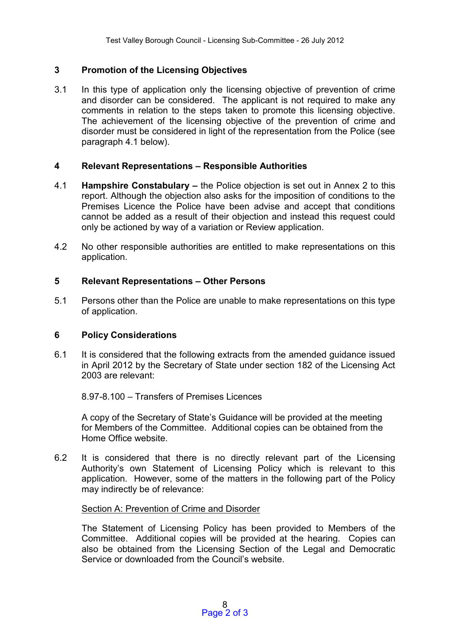# **3 Promotion of the Licensing Objectives**

3.1 In this type of application only the licensing objective of prevention of crime and disorder can be considered. The applicant is not required to make any comments in relation to the steps taken to promote this licensing objective. The achievement of the licensing objective of the prevention of crime and disorder must be considered in light of the representation from the Police (see paragraph 4.1 below).

### **4 Relevant Representations – Responsible Authorities**

- 4.1 **Hampshire Constabulary –** the Police objection is set out in Annex 2 to this report. Although the objection also asks for the imposition of conditions to the Premises Licence the Police have been advise and accept that conditions cannot be added as a result of their objection and instead this request could only be actioned by way of a variation or Review application.
- 4.2 No other responsible authorities are entitled to make representations on this application.

# **5 Relevant Representations – Other Persons**

5.1 Persons other than the Police are unable to make representations on this type of application.

### **6 Policy Considerations**

6.1 It is considered that the following extracts from the amended guidance issued in April 2012 by the Secretary of State under section 182 of the Licensing Act 2003 are relevant:

8.97-8.100 – Transfers of Premises Licences

A copy of the Secretary of State's Guidance will be provided at the meeting for Members of the Committee. Additional copies can be obtained from the Home Office website.

6.2 It is considered that there is no directly relevant part of the Licensing Authority's own Statement of Licensing Policy which is relevant to this application. However, some of the matters in the following part of the Policy may indirectly be of relevance:

### Section A: Prevention of Crime and Disorder

The Statement of Licensing Policy has been provided to Members of the Committee. Additional copies will be provided at the hearing. Copies can also be obtained from the Licensing Section of the Legal and Democratic Service or downloaded from the Council's website.